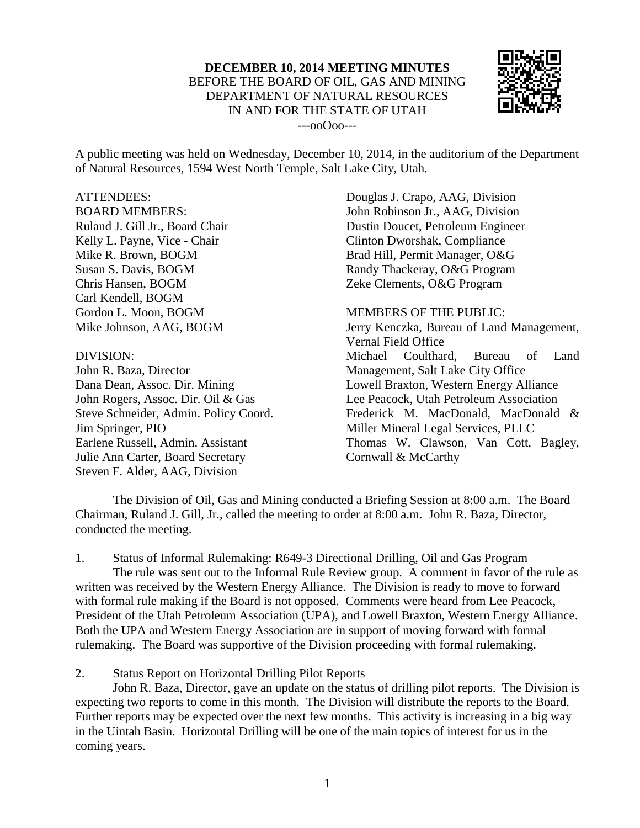## **DECEMBER 10, 2014 MEETING MINUTES** BEFORE THE BOARD OF OIL, GAS AND MINING DEPARTMENT OF NATURAL RESOURCES IN AND FOR THE STATE OF UTAH



---ooOoo---

A public meeting was held on Wednesday, December 10, 2014, in the auditorium of the Department of Natural Resources, 1594 West North Temple, Salt Lake City, Utah.

## ATTENDEES:

BOARD MEMBERS: Ruland J. Gill Jr., Board Chair Kelly L. Payne, Vice - Chair Mike R. Brown, BOGM Susan S. Davis, BOGM Chris Hansen, BOGM Carl Kendell, BOGM Gordon L. Moon, BOGM Mike Johnson, AAG, BOGM

## DIVISION:

John R. Baza, Director Dana Dean, Assoc. Dir. Mining John Rogers, Assoc. Dir. Oil & Gas Steve Schneider, Admin. Policy Coord. Jim Springer, PIO Earlene Russell, Admin. Assistant Julie Ann Carter, Board Secretary Steven F. Alder, AAG, Division

Douglas J. Crapo, AAG, Division John Robinson Jr., AAG, Division Dustin Doucet, Petroleum Engineer Clinton Dworshak, Compliance Brad Hill, Permit Manager, O&G Randy Thackeray, O&G Program Zeke Clements, O&G Program

MEMBERS OF THE PUBLIC: Jerry Kenczka, Bureau of Land Management, Vernal Field Office Michael Coulthard, Bureau of Land Management, Salt Lake City Office Lowell Braxton, Western Energy Alliance Lee Peacock, Utah Petroleum Association Frederick M. MacDonald, MacDonald & Miller Mineral Legal Services, PLLC Thomas W. Clawson, Van Cott, Bagley, Cornwall & McCarthy

The Division of Oil, Gas and Mining conducted a Briefing Session at 8:00 a.m. The Board Chairman, Ruland J. Gill, Jr., called the meeting to order at 8:00 a.m. John R. Baza, Director, conducted the meeting.

1. Status of Informal Rulemaking: R649-3 Directional Drilling, Oil and Gas Program The rule was sent out to the Informal Rule Review group. A comment in favor of the rule as written was received by the Western Energy Alliance. The Division is ready to move to forward with formal rule making if the Board is not opposed. Comments were heard from Lee Peacock, President of the Utah Petroleum Association (UPA), and Lowell Braxton, Western Energy Alliance. Both the UPA and Western Energy Association are in support of moving forward with formal rulemaking. The Board was supportive of the Division proceeding with formal rulemaking.

2. Status Report on Horizontal Drilling Pilot Reports

John R. Baza, Director, gave an update on the status of drilling pilot reports. The Division is expecting two reports to come in this month. The Division will distribute the reports to the Board. Further reports may be expected over the next few months. This activity is increasing in a big way in the Uintah Basin. Horizontal Drilling will be one of the main topics of interest for us in the coming years.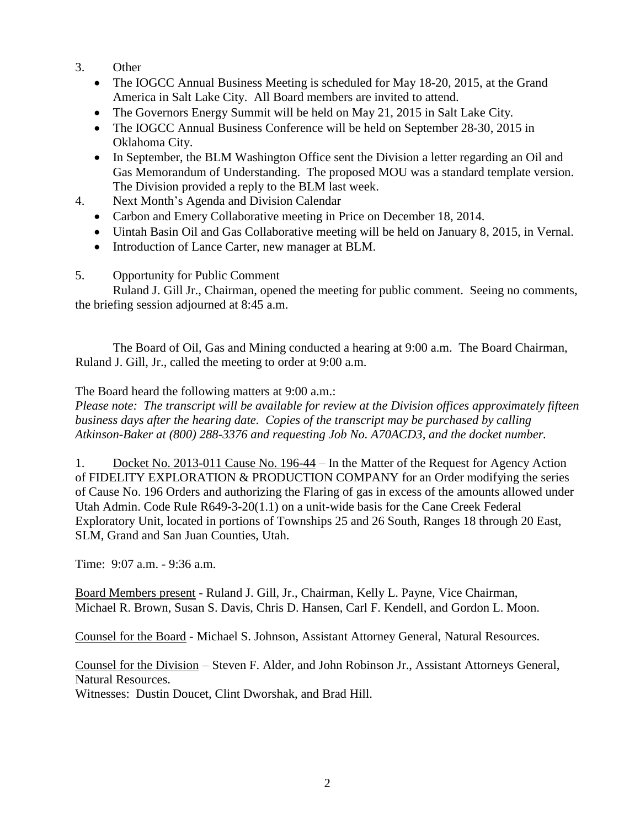- 3. Other
	- The IOGCC Annual Business Meeting is scheduled for May 18-20, 2015, at the Grand America in Salt Lake City. All Board members are invited to attend.
	- The Governors Energy Summit will be held on May 21, 2015 in Salt Lake City.
	- The IOGCC Annual Business Conference will be held on September 28-30, 2015 in Oklahoma City.
	- In September, the BLM Washington Office sent the Division a letter regarding an Oil and Gas Memorandum of Understanding. The proposed MOU was a standard template version. The Division provided a reply to the BLM last week.
- 4. Next Month's Agenda and Division Calendar
	- Carbon and Emery Collaborative meeting in Price on December 18, 2014.
	- Uintah Basin Oil and Gas Collaborative meeting will be held on January 8, 2015, in Vernal.
	- Introduction of Lance Carter, new manager at BLM.
- 5. Opportunity for Public Comment

Ruland J. Gill Jr., Chairman, opened the meeting for public comment. Seeing no comments, the briefing session adjourned at 8:45 a.m.

The Board of Oil, Gas and Mining conducted a hearing at 9:00 a.m. The Board Chairman, Ruland J. Gill, Jr., called the meeting to order at 9:00 a.m.

The Board heard the following matters at 9:00 a.m.:

*Please note: The transcript will be available for review at the Division offices approximately fifteen business days after the hearing date. Copies of the transcript may be purchased by calling Atkinson-Baker at (800) 288-3376 and requesting Job No. A70ACD3, and the docket number.*

1. Docket No. 2013-011 Cause No. 196-44 – In the Matter of the Request for Agency Action of FIDELITY EXPLORATION & PRODUCTION COMPANY for an Order modifying the series of Cause No. 196 Orders and authorizing the Flaring of gas in excess of the amounts allowed under Utah Admin. Code Rule R649-3-20(1.1) on a unit-wide basis for the Cane Creek Federal Exploratory Unit, located in portions of Townships 25 and 26 South, Ranges 18 through 20 East, SLM, Grand and San Juan Counties, Utah.

Time: 9:07 a.m. - 9:36 a.m.

Board Members present - Ruland J. Gill, Jr., Chairman, Kelly L. Payne, Vice Chairman, Michael R. Brown, Susan S. Davis, Chris D. Hansen, Carl F. Kendell, and Gordon L. Moon.

Counsel for the Board - Michael S. Johnson, Assistant Attorney General, Natural Resources.

Counsel for the Division – Steven F. Alder, and John Robinson Jr., Assistant Attorneys General, Natural Resources.

Witnesses: Dustin Doucet, Clint Dworshak, and Brad Hill.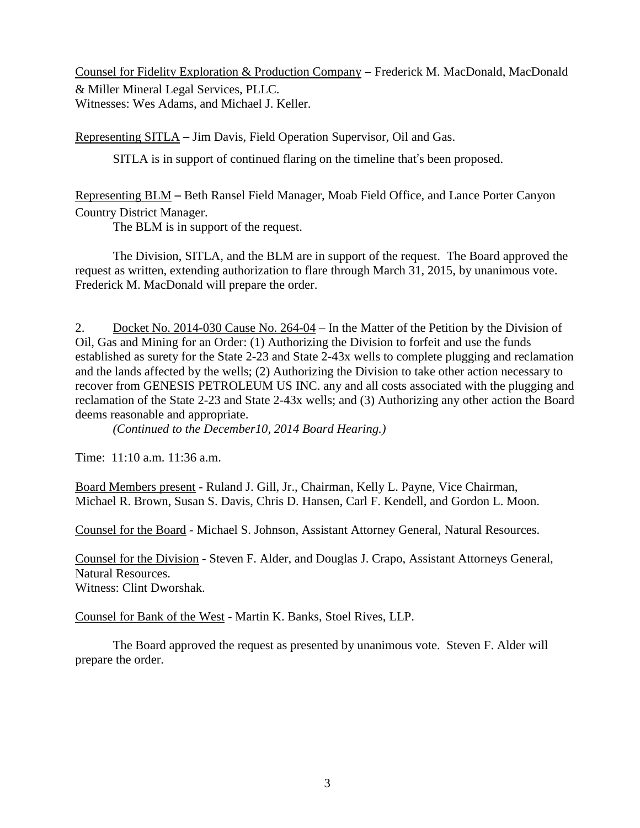Counsel for Fidelity Exploration & Production Company – Frederick M. MacDonald, MacDonald & Miller Mineral Legal Services, PLLC. Witnesses: Wes Adams, and Michael J. Keller.

Representing SITLA – Jim Davis, Field Operation Supervisor, Oil and Gas.

SITLA is in support of continued flaring on the timeline that's been proposed.

Representing BLM – Beth Ransel Field Manager, Moab Field Office, and Lance Porter Canyon Country District Manager.

The BLM is in support of the request.

The Division, SITLA, and the BLM are in support of the request. The Board approved the request as written, extending authorization to flare through March 31, 2015, by unanimous vote. Frederick M. MacDonald will prepare the order.

2. Docket No. 2014-030 Cause No. 264-04 – In the Matter of the Petition by the Division of Oil, Gas and Mining for an Order: (1) Authorizing the Division to forfeit and use the funds established as surety for the State 2-23 and State 2-43x wells to complete plugging and reclamation and the lands affected by the wells; (2) Authorizing the Division to take other action necessary to recover from GENESIS PETROLEUM US INC. any and all costs associated with the plugging and reclamation of the State 2-23 and State 2-43x wells; and (3) Authorizing any other action the Board deems reasonable and appropriate.

*(Continued to the December10, 2014 Board Hearing.)*

Time: 11:10 a.m. 11:36 a.m.

Board Members present - Ruland J. Gill, Jr., Chairman, Kelly L. Payne, Vice Chairman, Michael R. Brown, Susan S. Davis, Chris D. Hansen, Carl F. Kendell, and Gordon L. Moon.

Counsel for the Board - Michael S. Johnson, Assistant Attorney General, Natural Resources.

Counsel for the Division - Steven F. Alder, and Douglas J. Crapo, Assistant Attorneys General, Natural Resources. Witness: Clint Dworshak.

Counsel for Bank of the West - Martin K. Banks, Stoel Rives, LLP.

The Board approved the request as presented by unanimous vote. Steven F. Alder will prepare the order.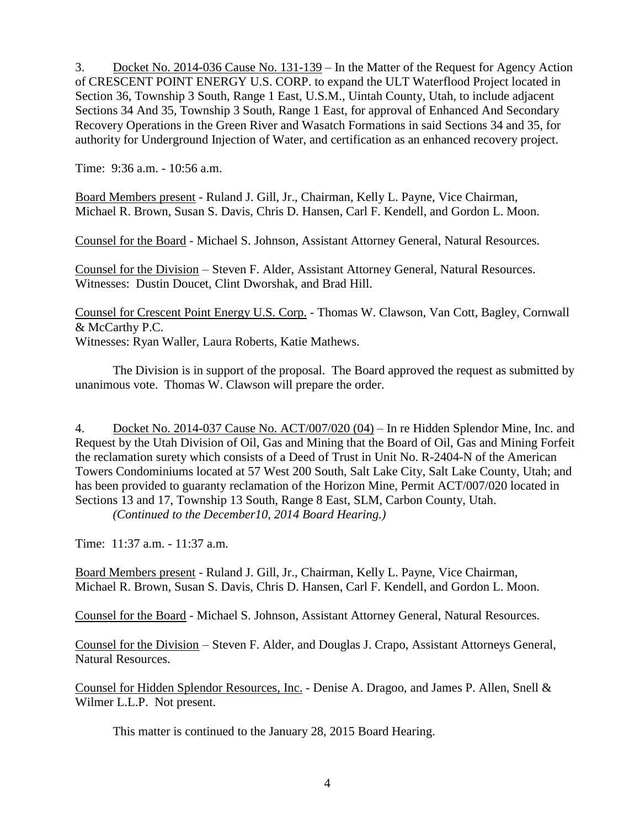3. Docket No. 2014-036 Cause No. 131-139 – In the Matter of the Request for Agency Action of CRESCENT POINT ENERGY U.S. CORP. to expand the ULT Waterflood Project located in Section 36, Township 3 South, Range 1 East, U.S.M., Uintah County, Utah, to include adjacent Sections 34 And 35, Township 3 South, Range 1 East, for approval of Enhanced And Secondary Recovery Operations in the Green River and Wasatch Formations in said Sections 34 and 35, for authority for Underground Injection of Water, and certification as an enhanced recovery project.

Time: 9:36 a.m. - 10:56 a.m.

Board Members present - Ruland J. Gill, Jr., Chairman, Kelly L. Payne, Vice Chairman, Michael R. Brown, Susan S. Davis, Chris D. Hansen, Carl F. Kendell, and Gordon L. Moon.

Counsel for the Board - Michael S. Johnson, Assistant Attorney General, Natural Resources.

Counsel for the Division – Steven F. Alder, Assistant Attorney General, Natural Resources. Witnesses: Dustin Doucet, Clint Dworshak, and Brad Hill.

Counsel for Crescent Point Energy U.S. Corp. - Thomas W. Clawson, Van Cott, Bagley, Cornwall & McCarthy P.C.

Witnesses: Ryan Waller, Laura Roberts, Katie Mathews.

The Division is in support of the proposal. The Board approved the request as submitted by unanimous vote. Thomas W. Clawson will prepare the order.

4. Docket No. 2014-037 Cause No. ACT/007/020 (04) – In re Hidden Splendor Mine, Inc. and Request by the Utah Division of Oil, Gas and Mining that the Board of Oil, Gas and Mining Forfeit the reclamation surety which consists of a Deed of Trust in Unit No. R-2404-N of the American Towers Condominiums located at 57 West 200 South, Salt Lake City, Salt Lake County, Utah; and has been provided to guaranty reclamation of the Horizon Mine, Permit ACT/007/020 located in Sections 13 and 17, Township 13 South, Range 8 East, SLM, Carbon County, Utah. *(Continued to the December10, 2014 Board Hearing.)*

Time: 11:37 a.m. - 11:37 a.m.

Board Members present - Ruland J. Gill, Jr., Chairman, Kelly L. Payne, Vice Chairman, Michael R. Brown, Susan S. Davis, Chris D. Hansen, Carl F. Kendell, and Gordon L. Moon.

Counsel for the Board - Michael S. Johnson, Assistant Attorney General, Natural Resources.

Counsel for the Division – Steven F. Alder, and Douglas J. Crapo, Assistant Attorneys General, Natural Resources.

Counsel for Hidden Splendor Resources, Inc. - Denise A. Dragoo, and James P. Allen, Snell & Wilmer L.L.P. Not present.

This matter is continued to the January 28, 2015 Board Hearing.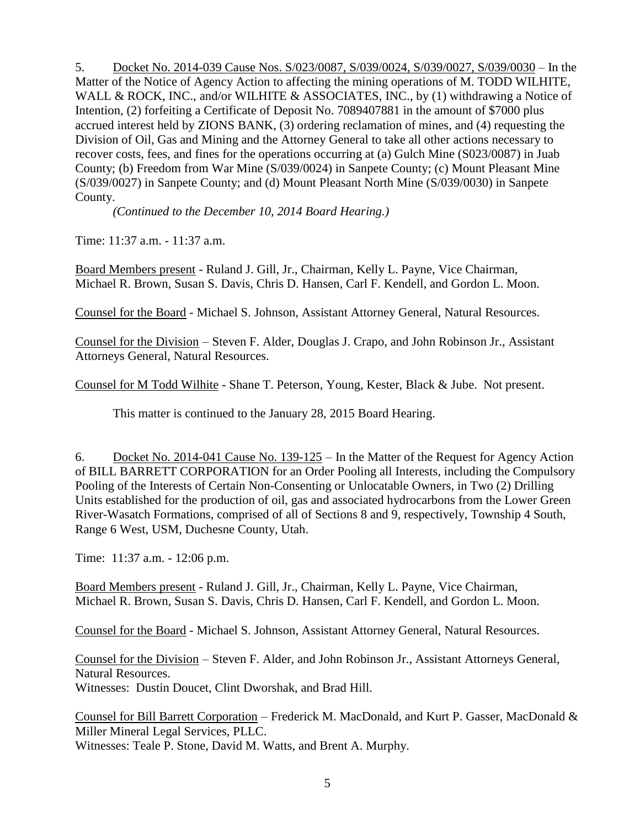5. Docket No. 2014-039 Cause Nos. [S/023/0087,](http://ogm.utah.gov/amr/boardtemp/redesign/2014/10_oct/dockets/2014-039_s0230087,s0390024,s0390027,s0390030_wilhite.html) S/039/0024, S/039/0027, S/039/0030 – In the Matter of the Notice of Agency Action to affecting the mining operations of M. TODD WILHITE, WALL & ROCK, INC., and/or WILHITE & ASSOCIATES, INC., by (1) withdrawing a Notice of Intention, (2) forfeiting a Certificate of Deposit No. 7089407881 in the amount of \$7000 plus accrued interest held by ZIONS BANK, (3) ordering reclamation of mines, and (4) requesting the Division of Oil, Gas and Mining and the Attorney General to take all other actions necessary to recover costs, fees, and fines for the operations occurring at (a) Gulch Mine (S023/0087) in Juab County; (b) Freedom from War Mine (S/039/0024) in Sanpete County; (c) Mount Pleasant Mine (S/039/0027) in Sanpete County; and (d) Mount Pleasant North Mine (S/039/0030) in Sanpete County.

*(Continued to the December 10, 2014 Board Hearing.)*

Time: 11:37 a.m. - 11:37 a.m.

Board Members present - Ruland J. Gill, Jr., Chairman, Kelly L. Payne, Vice Chairman, Michael R. Brown, Susan S. Davis, Chris D. Hansen, Carl F. Kendell, and Gordon L. Moon.

Counsel for the Board - Michael S. Johnson, Assistant Attorney General, Natural Resources.

Counsel for the Division – Steven F. Alder, Douglas J. Crapo, and John Robinson Jr., Assistant Attorneys General, Natural Resources.

Counsel for M Todd Wilhite - Shane T. Peterson, Young, Kester, Black & Jube. Not present.

This matter is continued to the January 28, 2015 Board Hearing.

6. Docket No. 2014-041 Cause No. 139-125 – In the Matter of the Request for Agency Action of BILL BARRETT CORPORATION for an Order Pooling all Interests, including the Compulsory Pooling of the Interests of Certain Non-Consenting or Unlocatable Owners, in Two (2) Drilling Units established for the production of oil, gas and associated hydrocarbons from the Lower Green River-Wasatch Formations, comprised of all of Sections 8 and 9, respectively, Township 4 South, Range 6 West, USM, Duchesne County, Utah.

Time: 11:37 a.m. - 12:06 p.m.

Board Members present - Ruland J. Gill, Jr., Chairman, Kelly L. Payne, Vice Chairman, Michael R. Brown, Susan S. Davis, Chris D. Hansen, Carl F. Kendell, and Gordon L. Moon.

Counsel for the Board - Michael S. Johnson, Assistant Attorney General, Natural Resources.

Counsel for the Division – Steven F. Alder, and John Robinson Jr., Assistant Attorneys General, Natural Resources. Witnesses: Dustin Doucet, Clint Dworshak, and Brad Hill.

Counsel for Bill Barrett Corporation – Frederick M. MacDonald, and Kurt P. Gasser, MacDonald & Miller Mineral Legal Services, PLLC.

Witnesses: Teale P. Stone, David M. Watts, and Brent A. Murphy.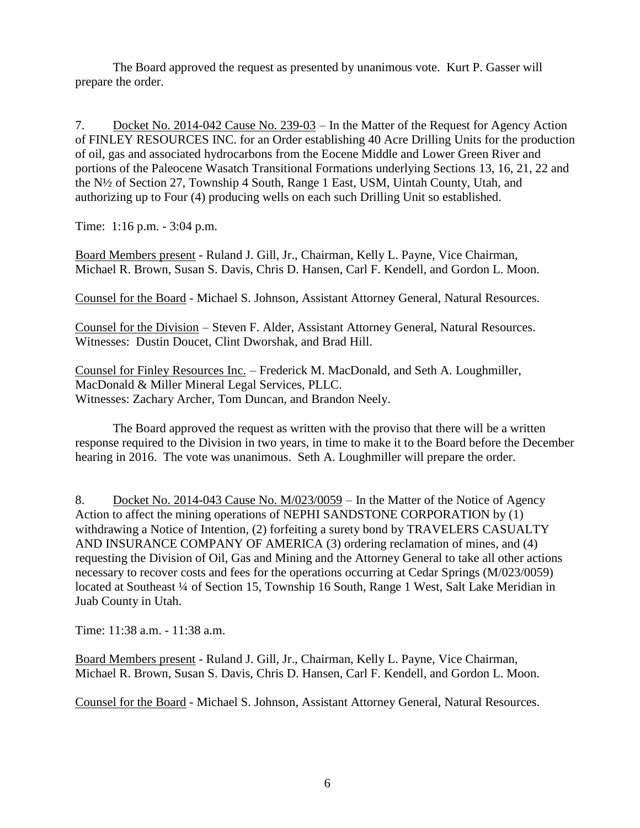The Board approved the request as presented by unanimous vote. Kurt P. Gasser will prepare the order.

7. Docket No. 2014-042 Cause No. 239-03 – In the Matter of the Request for Agency Action of FINLEY RESOURCES INC. for an Order establishing 40 Acre Drilling Units for the production of oil, gas and associated hydrocarbons from the Eocene Middle and Lower Green River and portions of the Paleocene Wasatch Transitional Formations underlying Sections 13, 16, 21, 22 and the N½ of Section 27, Township 4 South, Range 1 East, USM, Uintah County, Utah, and authorizing up to Four (4) producing wells on each such Drilling Unit so established.

Time: 1:16 p.m. - 3:04 p.m.

Board Members present - Ruland J. Gill, Jr., Chairman, Kelly L. Payne, Vice Chairman, Michael R. Brown, Susan S. Davis, Chris D. Hansen, Carl F. Kendell, and Gordon L. Moon.

Counsel for the Board - Michael S. Johnson, Assistant Attorney General, Natural Resources.

Counsel for the Division – Steven F. Alder, Assistant Attorney General, Natural Resources. Witnesses: Dustin Doucet, Clint Dworshak, and Brad Hill.

Counsel for Finley Resources Inc. – Frederick M. MacDonald, and Seth A. Loughmiller, MacDonald & Miller Mineral Legal Services, PLLC. Witnesses: Zachary Archer, Tom Duncan, and Brandon Neely.

The Board approved the request as written with the proviso that there will be a written response required to the Division in two years, in time to make it to the Board before the December hearing in 2016. The vote was unanimous. Seth A. Loughmiller will prepare the order.

8. Docket No. 2014-043 Cause No. M/023/0059 – In the Matter of the Notice of Agency Action to affect the mining operations of NEPHI SANDSTONE CORPORATION by (1) withdrawing a Notice of Intention, (2) forfeiting a surety bond by TRAVELERS CASUALTY AND INSURANCE COMPANY OF AMERICA (3) ordering reclamation of mines, and (4) requesting the Division of Oil, Gas and Mining and the Attorney General to take all other actions necessary to recover costs and fees for the operations occurring at Cedar Springs (M/023/0059) located at Southeast ¼ of Section 15, Township 16 South, Range 1 West, Salt Lake Meridian in Juab County in Utah.

Time: 11:38 a.m. - 11:38 a.m.

Board Members present - Ruland J. Gill, Jr., Chairman, Kelly L. Payne, Vice Chairman, Michael R. Brown, Susan S. Davis, Chris D. Hansen, Carl F. Kendell, and Gordon L. Moon.

Counsel for the Board - Michael S. Johnson, Assistant Attorney General, Natural Resources.